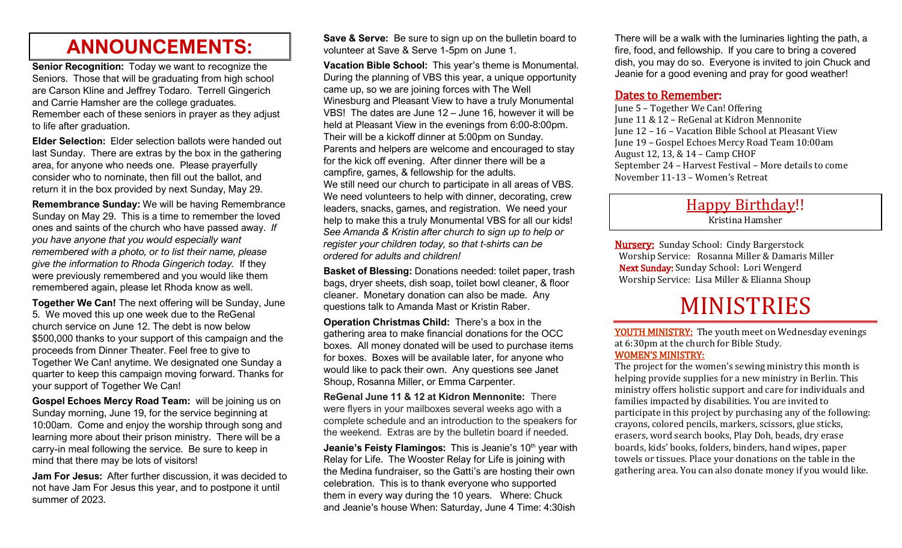# **ANNOUNCEMENTS:**

**Senior Recognition:** Today we want to recognize the Seniors. Those that will be graduating from high school are Carson Kline and Jeffrey Todaro. Terrell Gingerich and Carrie Hamsher are the college graduates. Remember each of these seniors in prayer as they adjust to life after graduation.

**Elder Selection:** Elder selection ballots were handed out last Sunday. There are extras by the box in the gathering area, for anyone who needs one. Please prayerfully consider who to nominate, then fill out the ballot, and return it in the box provided by next Sunday, May 29.

**Remembrance Sunday:** We will be having Remembrance Sunday on May 29. This is a time to remember the loved ones and saints of the church who have passed away. *If you have anyone that you would especially want remembered with a photo, or to list their name, please give the information to Rhoda Gingerich today.* If they were previously remembered and you would like them remembered again, please let Rhoda know as well.

**Together We Can!** The next offering will be Sunday, June 5. We moved this up one week due to the ReGenal church service on June 12. The debt is now below \$500,000 thanks to your support of this campaign and the proceeds from Dinner Theater. Feel free to give to Together We Can! anytime. We designated one Sunday a quarter to keep this campaign moving forward. Thanks for your support of Together We Can!

**Gospel Echoes Mercy Road Team:** will be joining us on Sunday morning, June 19, for the service beginning at 10:00am. Come and enjoy the worship through song and learning more about their prison ministry. There will be a carry-in meal following the service. Be sure to keep in mind that there may be lots of visitors!

**Jam For Jesus:** After further discussion, it was decided to not have Jam For Jesus this year, and to postpone it until summer of 2023.

**Save & Serve:** Be sure to sign up on the bulletin board to volunteer at Save & Serve 1-5pm on June 1.

**Vacation Bible School:** This year's theme is Monumental. During the planning of VBS this year, a unique opportunity came up, so we are joining forces with The Well Winesburg and Pleasant View to have a truly Monumental VBS! The dates are June 12 – June 16, however it will be held at Pleasant View in the evenings from 6:00-8:00pm. Their will be a kickoff dinner at 5:00pm on Sunday. Parents and helpers are welcome and encouraged to stay for the kick off evening. After dinner there will be a campfire, games, & fellowship for the adults. We still need our church to participate in all areas of VBS. We need volunteers to help with dinner, decorating, crew leaders, snacks, games, and registration. We need your help to make this a truly Monumental VBS for all our kids! *See Amanda & Kristin after church to sign up to help or register your children today, so that t-shirts can be ordered for adults and children!*

**Basket of Blessing:** Donations needed: toilet paper, trash bags, dryer sheets, dish soap, toilet bowl cleaner, & floor cleaner. Monetary donation can also be made. Any questions talk to Amanda Mast or Kristin Raber.

**Operation Christmas Child:** There's a box in the gathering area to make financial donations for the OCC boxes. All money donated will be used to purchase items for boxes. Boxes will be available later, for anyone who would like to pack their own. Any questions see Janet Shoup, Rosanna Miller, or Emma Carpenter.

**ReGenal June 11 & 12 at Kidron Mennonite:** There were flyers in your mailboxes several weeks ago with a complete schedule and an introduction to the speakers for the weekend. Extras are by the bulletin board if needed.

**Jeanie's Feisty Flamingos:** This is Jeanie's 10<sup>th</sup> year with Relay for Life. The Wooster Relay for Life is joining with the Medina fundraiser, so the Gatti's are hosting their own celebration. This is to thank everyone who supported them in every way during the 10 years. Where: Chuck and Jeanie's house When: Saturday, June 4 Time: 4:30ish

There will be a walk with the luminaries lighting the path, a fire, food, and fellowship. If you care to bring a covered dish, you may do so. Everyone is invited to join Chuck and Jeanie for a good evening and pray for good weather!

### Dates to Remember:

June 5 – Together We Can! Offering June 11 & 12 – ReGenal at Kidron Mennonite June 12 – 16 – Vacation Bible School at Pleasant View June 19 – Gospel Echoes Mercy Road Team 10:00am August 12, 13, & 14 – Camp CHOF September 24 – Harvest Festival – More details to come November 11-13 – Women's Retreat

### Happy Birthday!!

Kristina Hamsher

Nursery: Sunday School: Cindy Bargerstock Worship Service: Rosanna Miller & Damaris Miller Next Sunday: Sunday School: Lori Wengerd Worship Service: Lisa Miller & Elianna Shoup

# MINISTRIES

YOUTH MINISTRY: The youth meet on Wednesday evenings at 6:30pm at the church for Bible Study. WOMEN'S MINISTRY:

The project for the women's sewing ministry this month is helping provide supplies for a new ministry in Berlin. This ministry offers holistic support and care for individuals and families impacted by disabilities. You are invited to participate in this project by purchasing any of the following: crayons, colored pencils, markers, scissors, glue sticks, erasers, word search books, Play Doh, beads, dry erase boards, kids' books, folders, binders, hand wipes, paper towels or tissues. Place your donations on the table in the gathering area. You can also donate money if you would like.